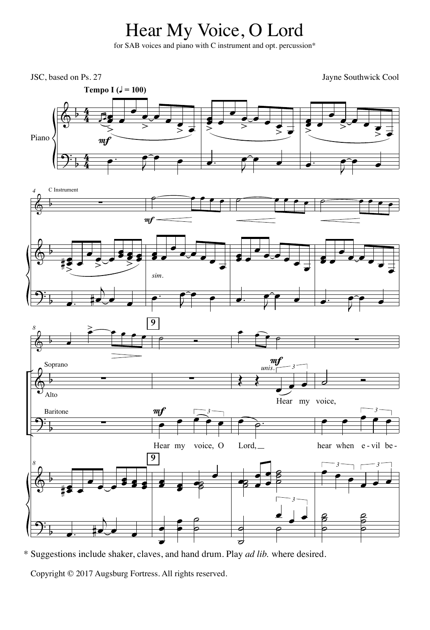## Hear My Voice, O Lord

for SAB voices and piano with C instrument and opt. percussion\*



<sup>\*</sup> Suggestions include shaker, claves, and hand drum. Play *ad lib.* where desired.

Copyright © 2017 Augsburg Fortress. All rights reserved.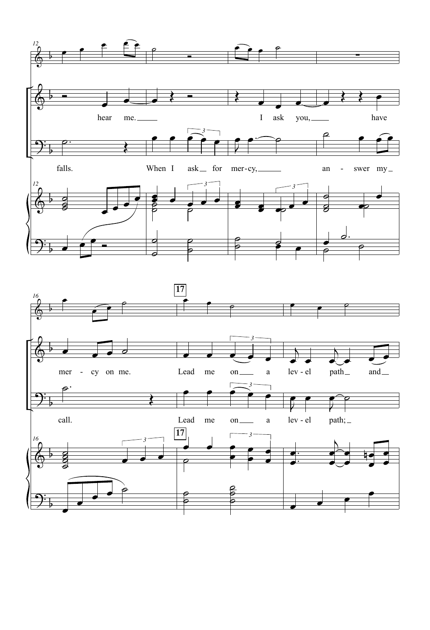

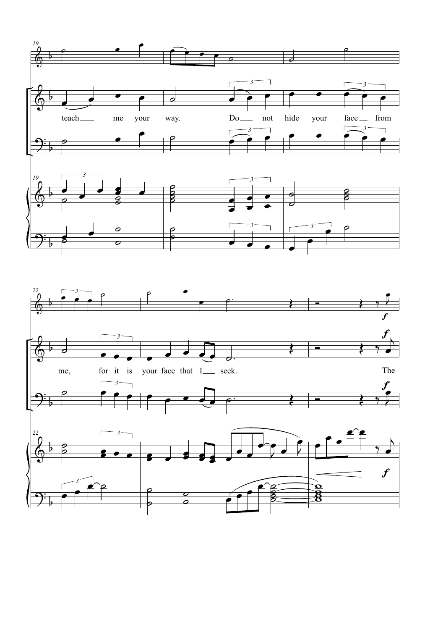